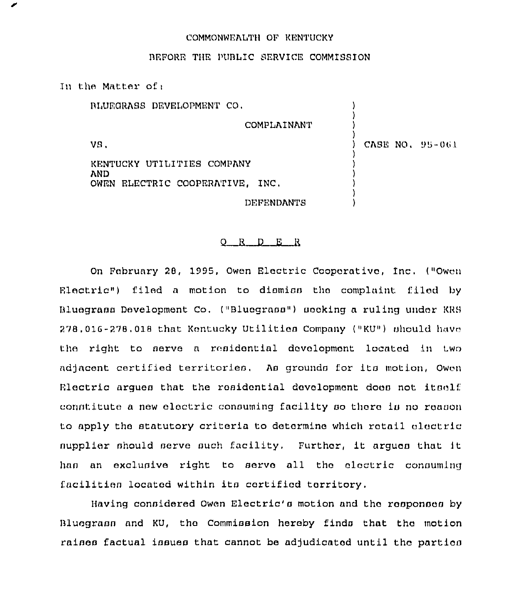## COMMONWEALTH OF KENTUCKY

## BEFORE THE PUBLIC SERVICE COMMISSION

In the Matter of: RLUEGRASS DEVELOPMENT CO. **COMPLAINANT** VS. CASE NO. 95-061 KENTUCKY UTILITIES COMPANY AND. OWEN ELECTRIC COOPERATIVE, INC. **DEFENDANTS** 

## $Q$  R D E R

On February 28, 1995, Owen Electric Cooperative, Inc. ("Owen Electric") filed a motion to dismiss the complaint filed by Bluegrass Development Co. ("Bluegrass") scoking a ruling under KRS 278.016-278.018 that Kentucky Utilities Company ("KU") should have the right to serve a residential development located in two adjacent certified territories. As grounds for its motion, Owen Electric arques that the residential development does not itself constitute a new electric consuming facility so there is no reason to apply the statutory criteria to determine which retail electric nupplier should serve such facility. Further, it argues that it has an exclusive right to serve all the electric consuming facilities located within its certified territory.

Having considered Owen Electric's motion and the responses by Bluegrass and KU, the Commission hereby finds that the motion raises factual issues that cannot be adjudicated until the parties